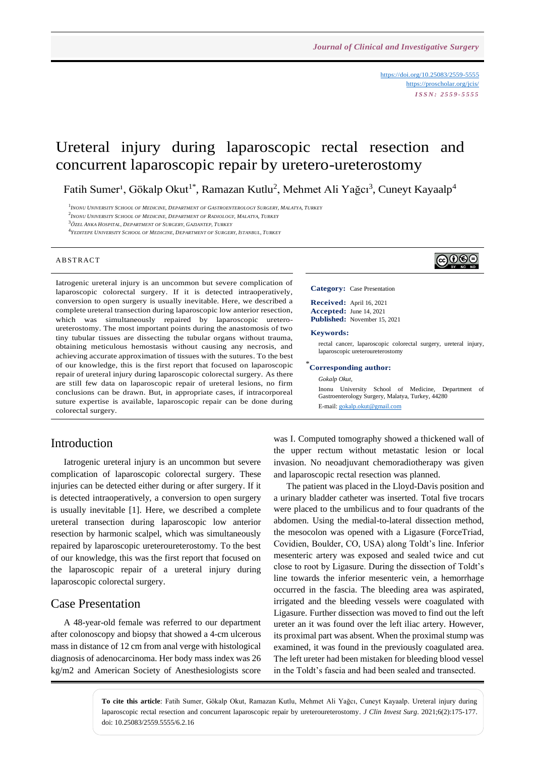<https://doi.org/10.25083/2559-5555> <https://proscholar.org/jcis/> *I S S N : 2 5 5 9 - 5 5 5 5*

ெ⊕⊕

# Ureteral injury during laparoscopic rectal resection and concurrent laparoscopic repair by uretero-ureterostomy

Fatih Sumer<sup>1</sup>, Gökalp Okut<sup>1\*</sup>, Ramazan Kutlu<sup>2</sup>, Mehmet Ali Yağcı<sup>3</sup>, Cuneyt Kayaalp<sup>4</sup>

<sup>1</sup>Inonu University School of Medicine, Department of Gastroenterology Surgery, Malatya, Turkey

2 *INONU UNIVERSITY SCHOOL OF MEDICINE, DEPARTMENT OF RADIOLOGY, MALATYA, TURKEY*

4 *YEDITEPE UNIVERSITY SCHOOL OF MEDICINE, DEPARTMENT OF SURGERY, ISTANBUL, TURKEY*

#### **ABSTRACT**

Iatrogenic ureteral injury is an uncommon but severe complication of laparoscopic colorectal surgery. If it is detected intraoperatively, conversion to open surgery is usually inevitable. Here, we described a complete ureteral transection during laparoscopic low anterior resection, which was simultaneously repaired by laparoscopic ureteroureterostomy. The most important points during the anastomosis of two tiny tubular tissues are dissecting the tubular organs without trauma, obtaining meticulous hemostasis without causing any necrosis, and achieving accurate approximation of tissues with the sutures. To the best of our knowledge, this is the first report that focused on laparoscopic repair of ureteral injury during laparoscopic colorectal surgery. As there are still few data on laparoscopic repair of ureteral lesions, no firm conclusions can be drawn. But, in appropriate cases, if intracorporeal suture expertise is available, laparoscopic repair can be done during colorectal surgery.

### Introduction

Iatrogenic ureteral injury is an uncommon but severe complication of laparoscopic colorectal surgery. These injuries can be detected either during or after surgery. If it is detected intraoperatively, a conversion to open surgery is usually inevitable [1]. Here, we described a complete ureteral transection during laparoscopic low anterior resection by harmonic scalpel, which was simultaneously repaired by laparoscopic ureteroureterostomy. To the best of our knowledge, this was the first report that focused on the laparoscopic repair of a ureteral injury during laparoscopic colorectal surgery.

### Case Presentation

A 48-year-old female was referred to our department after colonoscopy and biopsy that showed a 4-cm ulcerous mass in distance of 12 cm from anal verge with histological diagnosis of adenocarcinoma. Her body mass index was 26 kg/m2 and American Society of Anesthesiologists score

#### **Category:** Case Presentation

**Received:** April 16, 2021 **Accepted:** June 14, 2021 **Published:** November 15, 2021

#### **Keywords:**

rectal cancer, laparoscopic colorectal surgery, ureteral injury, laparoscopic ureteroureterostomy

### \* **Corresponding author:**

*Gokalp Okut,*

Inonu University School of Medicine, Department of Gastroenterology Surgery, Malatya, Turkey, 44280 E-mail: [gokalp.okut@gmail.com](mailto:gokalp.okut@gmail.com)

was I. Computed tomography showed a thickened wall of the upper rectum without metastatic lesion or local invasion. No neoadjuvant chemoradiotherapy was given and laparoscopic rectal resection was planned.

The patient was placed in the Lloyd-Davis position and a urinary bladder catheter was inserted. Total five trocars were placed to the umbilicus and to four quadrants of the abdomen. Using the medial-to-lateral dissection method, the mesocolon was opened with a Ligasure (ForceTriad, Covidien, Boulder, CO, USA) along Toldt's line. Inferior mesenteric artery was exposed and sealed twice and cut close to root by Ligasure. During the dissection of Toldt's line towards the inferior mesenteric vein, a hemorrhage occurred in the fascia. The bleeding area was aspirated, irrigated and the bleeding vessels were coagulated with Ligasure. Further dissection was moved to find out the left ureter an it was found over the left iliac artery. However, its proximal part was absent. When the proximal stump was examined, it was found in the previously coagulated area. The left ureter had been mistaken for bleeding blood vessel in the Toldt's fascia and had been sealed and transected.

**To cite this article**: Fatih Sumer, Gökalp Okut, Ramazan Kutlu, Mehmet Ali Yağcı, Cuneyt Kayaalp. Ureteral injury during laparoscopic rectal resection and concurrent laparoscopic repair by ureteroureterostomy. *J Clin Invest Surg*. 2021;6(2):175-177. doi: 10.25083/2559.5555/6.2.16

<sup>3</sup>*ÖZEL ANKA HOSPITAL, DEPARTMENT OF SURGERY, GAZIANTEP, TURKEY*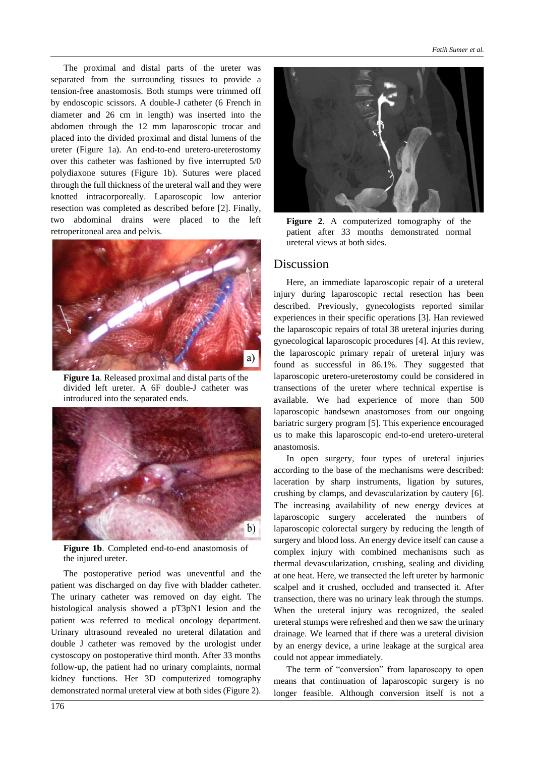The proximal and distal parts of the ureter was separated from the surrounding tissues to provide a tension-free anastomosis. Both stumps were trimmed off by endoscopic scissors. A double-J catheter (6 French in diameter and 26 cm in length) was inserted into the abdomen through the 12 mm laparoscopic trocar and placed into the divided proximal and distal lumens of the ureter (Figure 1a). An end-to-end uretero-ureterostomy over this catheter was fashioned by five interrupted 5/0 polydiaxone sutures (Figure 1b). Sutures were placed through the full thickness of the ureteral wall and they were knotted intracorporeally. Laparoscopic low anterior resection was completed as described before [2]. Finally, two abdominal drains were placed to the left retroperitoneal area and pelvis.



**Figure 1a**. Released proximal and distal parts of the divided left ureter. A 6F double-J catheter was introduced into the separated ends.



**Figure 1b**. Completed end-to-end anastomosis of the injured ureter.

The postoperative period was uneventful and the patient was discharged on day five with bladder catheter. The urinary catheter was removed on day eight. The histological analysis showed a pT3pN1 lesion and the patient was referred to medical oncology department. Urinary ultrasound revealed no ureteral dilatation and double J catheter was removed by the urologist under cystoscopy on postoperative third month. After 33 months follow-up, the patient had no urinary complaints, normal kidney functions. Her 3D computerized tomography demonstrated normal ureteral view at both sides (Figure 2).



**Figure 2**. A computerized tomography of the patient after 33 months demonstrated normal ureteral views at both sides.

#### Discussion

Here, an immediate laparoscopic repair of a ureteral injury during laparoscopic rectal resection has been described. Previously, gynecologists reported similar experiences in their specific operations [3]. Han reviewed the laparoscopic repairs of total 38 ureteral injuries during gynecological laparoscopic procedures [4]. At this review, the laparoscopic primary repair of ureteral injury was found as successful in 86.1%. They suggested that laparoscopic uretero-ureterostomy could be considered in transections of the ureter where technical expertise is available. We had experience of more than 500 laparoscopic handsewn anastomoses from our ongoing bariatric surgery program [5]. This experience encouraged us to make this laparoscopic end-to-end uretero-ureteral anastomosis.

In open surgery, four types of ureteral injuries according to the base of the mechanisms were described: laceration by sharp instruments, ligation by sutures, crushing by clamps, and devascularization by cautery [6]. The increasing availability of new energy devices at laparoscopic surgery accelerated the numbers of laparoscopic colorectal surgery by reducing the length of surgery and blood loss. An energy device itself can cause a complex injury with combined mechanisms such as thermal devascularization, crushing, sealing and dividing at one heat. Here, we transected the left ureter by harmonic scalpel and it crushed, occluded and transected it. After transection, there was no urinary leak through the stumps. When the ureteral injury was recognized, the sealed ureteral stumps were refreshed and then we saw the urinary drainage. We learned that if there was a ureteral division by an energy device, a urine leakage at the surgical area could not appear immediately.

The term of "conversion" from laparoscopy to open means that continuation of laparoscopic surgery is no longer feasible. Although conversion itself is not a